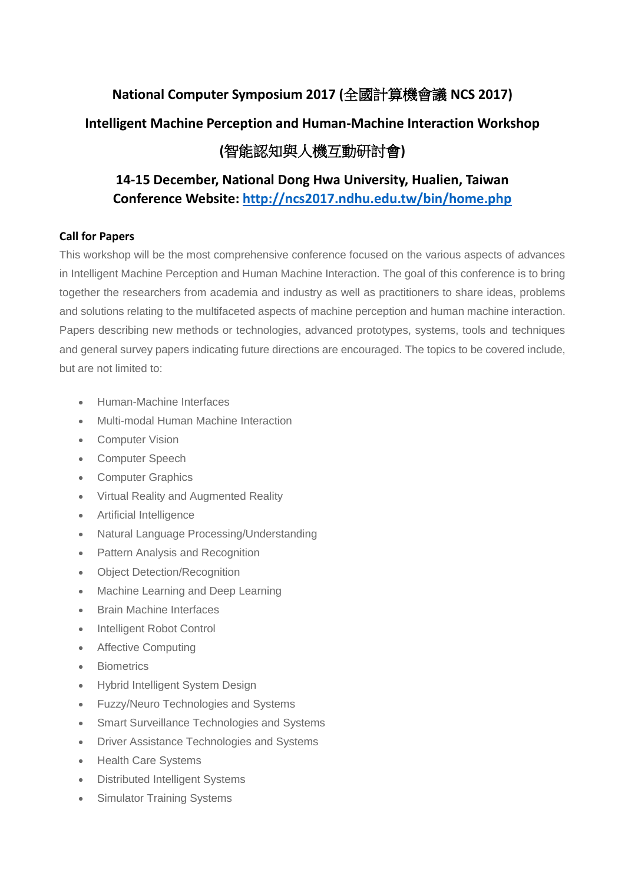# **National Computer Symposium 2017 (**全國計算機會議 **NCS 2017) Intelligent Machine Perception and Human-Machine Interaction Workshop (**智能認知與人機互動研討會**)**

# **14-15 December, National Dong Hwa University, Hualien, Taiwan Conference Website:<http://ncs2017.ndhu.edu.tw/bin/home.php>**

### **Call for Papers**

This workshop will be the most comprehensive conference focused on the various aspects of advances in Intelligent Machine Perception and Human Machine Interaction. The goal of this conference is to bring together the researchers from academia and industry as well as practitioners to share ideas, problems and solutions relating to the multifaceted aspects of machine perception and human machine interaction. Papers describing new methods or technologies, advanced prototypes, systems, tools and techniques and general survey papers indicating future directions are encouraged. The topics to be covered include, but are not limited to:

- Human-Machine Interfaces
- Multi-modal Human Machine Interaction
- **•** Computer Vision
- Computer Speech
- Computer Graphics
- Virtual Reality and Augmented Reality
- Artificial Intelligence
- Natural Language Processing/Understanding
- Pattern Analysis and Recognition
- Object Detection/Recognition
- Machine Learning and Deep Learning
- Brain Machine Interfaces
- Intelligent Robot Control
- Affective Computing
- **•** Biometrics
- Hybrid Intelligent System Design
- Fuzzy/Neuro Technologies and Systems
- Smart Surveillance Technologies and Systems
- Driver Assistance Technologies and Systems
- Health Care Systems
- Distributed Intelligent Systems
- Simulator Training Systems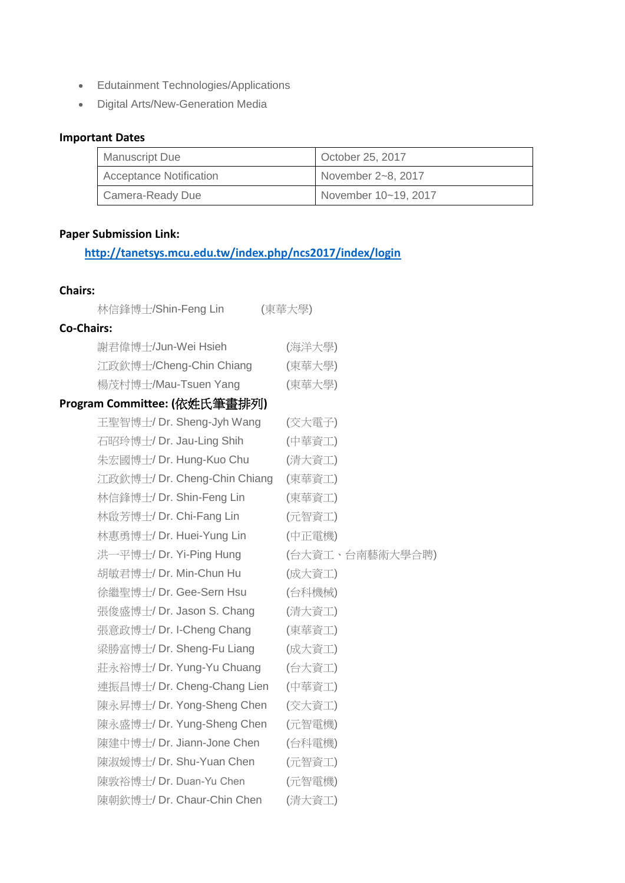- **•** Edutainment Technologies/Applications
- Digital Arts/New-Generation Media

## **Important Dates**

| <b>Manuscript Due</b>          | October 25, 2017     |
|--------------------------------|----------------------|
| <b>Acceptance Notification</b> | November 2~8, 2017   |
| Camera-Ready Due               | November 10~19, 2017 |

## **Paper Submission Link:**

# **<http://tanetsys.mcu.edu.tw/index.php/ncs2017/index/login>**

### **Chairs:**

| 林信鋒博士/Shin-Feng Lin          | (東華大學)          |
|------------------------------|-----------------|
| <b>Co-Chairs:</b>            |                 |
| 謝君偉博士/Jun-Wei Hsieh          | (海洋大學)          |
| 江政欽博士/Cheng-Chin Chiang      | (東華大學)          |
| 楊茂村博士/Mau-Tsuen Yang         | (東華大學)          |
| Program Committee: (依姓氏筆畫排列) |                 |
| 王聖智博士/ Dr. Sheng-Jyh Wang    | (交大電子)          |
| 石昭玲博士/ Dr. Jau-Ling Shih     | (中華資工)          |
| 朱宏國博士/ Dr. Hung-Kuo Chu      | (清大資工)          |
| 江政欽博士/ Dr. Cheng-Chin Chiang | (東華資工)          |
| 林信鋒博士/ Dr. Shin-Feng Lin     | (東華資工)          |
| 林啟芳博士/ Dr. Chi-Fang Lin      | (元智資工)          |
| 林惠勇博士/ Dr. Huei-Yung Lin     | (中正電機)          |
| 洪一平博士/ Dr. Yi-Ping Hung      | (台大資工、台南藝術大學合聘) |
| 胡敏君博士/ Dr. Min-Chun Hu       | (成大資工)          |
| 徐繼聖博士/Dr. Gee-Sern Hsu       | (台科機械)          |
| 張俊盛博士/ Dr. Jason S. Chang    | (清大資工)          |
| 張意政博士/ Dr. I-Cheng Chang     | (東華資工)          |
| 梁勝富博士/ Dr. Sheng-Fu Liang    | (成大資工)          |
| 莊永裕博士/ Dr. Yung-Yu Chuang    | (台大資工)          |
| 連振昌博士/ Dr. Cheng-Chang Lien  | (中華資工)          |
| 陳永昇博士/ Dr. Yong-Sheng Chen   | (交大資工)          |
| 陳永盛博士/ Dr. Yung-Sheng Chen   | (元智電機)          |
| 陳建中博士/ Dr. Jiann-Jone Chen   | (台科電機)          |
| 陳淑媛博士/ Dr. Shu-Yuan Chen     | (元智資工)          |
| 陳敦裕博士/ Dr. Duan-Yu Chen      | (元智電機)          |
| 陳朝欽博士/ Dr. Chaur-Chin Chen   | (清大資工)          |